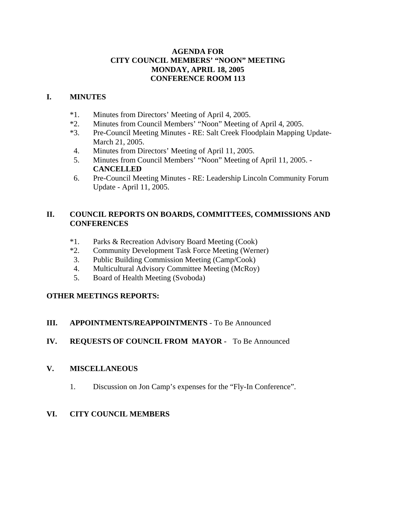### **AGENDA FOR CITY COUNCIL MEMBERS' "NOON" MEETING MONDAY, APRIL 18, 2005 CONFERENCE ROOM 113**

### **I. MINUTES**

- \*1. Minutes from Directors' Meeting of April 4, 2005.
- \*2. Minutes from Council Members' "Noon" Meeting of April 4, 2005.
- \*3. Pre-Council Meeting Minutes RE: Salt Creek Floodplain Mapping Update-March 21, 2005.
- 4. Minutes from Directors' Meeting of April 11, 2005.
- 5. Minutes from Council Members' "Noon" Meeting of April 11, 2005. **CANCELLED**
- 6. Pre-Council Meeting Minutes RE: Leadership Lincoln Community Forum Update - April 11, 2005.

### **II. COUNCIL REPORTS ON BOARDS, COMMITTEES, COMMISSIONS AND CONFERENCES**

- \*1. Parks & Recreation Advisory Board Meeting (Cook)
- \*2. Community Development Task Force Meeting (Werner)
- 3. Public Building Commission Meeting (Camp/Cook)
- 4. Multicultural Advisory Committee Meeting (McRoy)
- 5. Board of Health Meeting (Svoboda)

# **OTHER MEETINGS REPORTS:**

# **III. APPOINTMENTS/REAPPOINTMENTS** - To Be Announced

# **IV. REQUESTS OF COUNCIL FROM MAYOR -** To Be Announced

# **V. MISCELLANEOUS**

1. Discussion on Jon Camp's expenses for the "Fly-In Conference".

# **VI. CITY COUNCIL MEMBERS**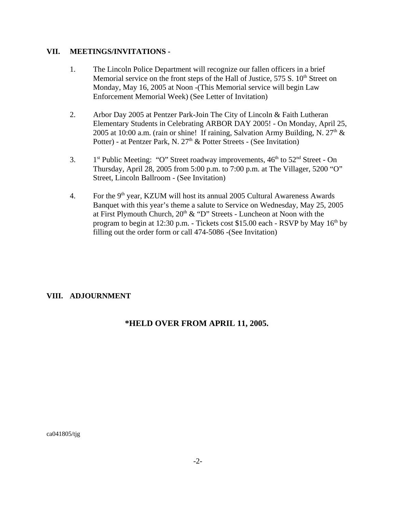#### **VII. MEETINGS/INVITATIONS -**

- 1. The Lincoln Police Department will recognize our fallen officers in a brief Memorial service on the front steps of the Hall of Justice,  $575 S$ .  $10<sup>th</sup>$  Street on Monday, May 16, 2005 at Noon -(This Memorial service will begin Law Enforcement Memorial Week) (See Letter of Invitation)
- 2. Arbor Day 2005 at Pentzer Park-Join The City of Lincoln & Faith Lutheran Elementary Students in Celebrating ARBOR DAY 2005! - On Monday, April 25, 2005 at 10:00 a.m. (rain or shine! If raining, Salvation Army Building, N.  $27<sup>th</sup>$  & Potter) - at Pentzer Park, N. 27<sup>th</sup> & Potter Streets - (See Invitation)
- 3.  $1<sup>st</sup>$  Public Meeting: "O" Street roadway improvements,  $46<sup>th</sup>$  to  $52<sup>nd</sup>$  Street On Thursday, April 28, 2005 from 5:00 p.m. to 7:00 p.m. at The Villager, 5200 "O" Street, Lincoln Ballroom - (See Invitation)
- 4. For the  $9<sup>th</sup>$  year, KZUM will host its annual 2005 Cultural Awareness Awards Banquet with this year's theme a salute to Service on Wednesday, May 25, 2005 at First Plymouth Church,  $20<sup>th</sup>$  & "D" Streets - Luncheon at Noon with the program to begin at 12:30 p.m. - Tickets cost \$15.00 each - RSVP by May  $16<sup>th</sup>$  by filling out the order form or call 474-5086 -(See Invitation)

### **VIII. ADJOURNMENT**

# **\*HELD OVER FROM APRIL 11, 2005.**

ca041805/tjg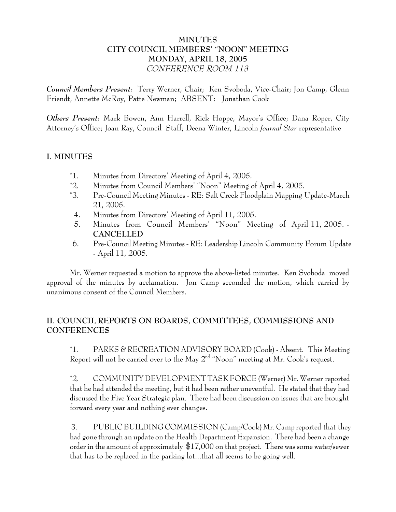# **MINUTES CITY COUNCIL MEMBERS' "NOON" MEETING MONDAY, APRIL 18, 2005** *CONFERENCE ROOM 113*

*Council Members Present:* Terry Werner, Chair; Ken Svoboda, Vice-Chair; Jon Camp, Glenn Friendt, Annette McRoy, Patte Newman; ABSENT: Jonathan Cook

*Others Present:* Mark Bowen, Ann Harrell, Rick Hoppe, Mayor's Office; Dana Roper, City Attorney's Office; Joan Ray, Council Staff; Deena Winter, Lincoln *Journal Star* representative

### **I. MINUTES**

- \*1. Minutes from Directors' Meeting of April 4, 2005.
- \*2. Minutes from Council Members' "Noon" Meeting of April 4, 2005.
- \*3. Pre-Council Meeting Minutes RE: Salt Creek Floodplain Mapping Update-March 21, 2005.
- 4. Minutes from Directors' Meeting of April 11, 2005.
- 5. Minutes from Council Members' "Noon" Meeting of April 11, 2005. **CANCELLED**
- 6. Pre-Council Meeting Minutes RE: Leadership Lincoln Community Forum Update - April 11, 2005.

Mr. Werner requested a motion to approve the above-listed minutes. Ken Svoboda moved approval of the minutes by acclamation. Jon Camp seconded the motion, which carried by unanimous consent of the Council Members.

# **II. COUNCIL REPORTS ON BOARDS, COMMITTEES, COMMISSIONS AND CONFERENCES**

\*1. PARKS & RECREATION ADVISORY BOARD (Cook) - Absent. This Meeting Report will not be carried over to the May  $2<sup>nd</sup>$  "Noon" meeting at Mr. Cook's request.

\*2. COMMUNITY DEVELOPMENT TASK FORCE (Werner) Mr. Werner reported that he had attended the meeting, but it had been rather uneventful. He stated that they had discussed the Five Year Strategic plan. There had been discussion on issues that are brought forward every year and nothing ever changes.

 3. PUBLIC BUILDING COMMISSION (Camp/Cook) Mr. Camp reported that they had gone through an update on the Health Department Expansion. There had been a change order in the amount of approximately \$17,000 on that project. There was some water/sewer that has to be replaced in the parking lot...that all seems to be going well.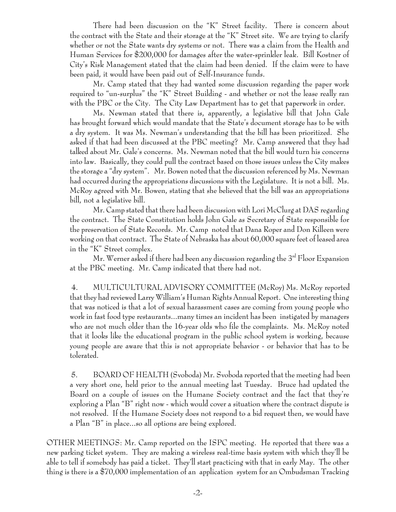There had been discussion on the "K" Street facility. There is concern about the contract with the State and their storage at the "K" Street site. We are trying to clarify whether or not the State wants dry systems or not. There was a claim from the Health and Human Services for \$200,000 for damages after the water-sprinkler leak. Bill Kostner of City's Risk Management stated that the claim had been denied. If the claim were to have been paid, it would have been paid out of Self-Insurance funds.

Mr. Camp stated that they had wanted some discussion regarding the paper work required to "un-surplus" the "K" Street Building - and whether or not the lease really ran with the PBC or the City. The City Law Department has to get that paperwork in order.

Ms. Newman stated that there is, apparently, a legislative bill that John Gale has brought forward which would mandate that the State's document storage has to be with a dry system. It was Ms. Newman's understanding that the bill has been prioritized. She asked if that had been discussed at the PBC meeting? Mr. Camp answered that they had talked about Mr. Gale's concerns. Ms. Newman noted that the bill would turn his concerns into law. Basically, they could pull the contract based on those issues unless the City makes the storage a "dry system". Mr. Bowen noted that the discussion referenced by Ms. Newman had occurred during the appropriations discussions with the Legislature. It is not a bill. Ms. McRoy agreed with Mr. Bowen, stating that she believed that the bill was an appropriations bill, not a legislative bill.

Mr. Camp stated that there had been discussion with Lori McClurg at DAS regarding the contract. The State Constitution holds John Gale as Secretary of State responsible for the preservation of State Records. Mr. Camp noted that Dana Roper and Don Killeen were working on that contract. The State of Nebraska has about 60,000 square feet of leased area in the "K" Street complex.

Mr. Werner asked if there had been any discussion regarding the  $3^{rd}$  Floor Expansion at the PBC meeting. Mr. Camp indicated that there had not.

4. MULTICULTURAL ADVISORY COMMITTEE (McRoy) Ms. McRoy reported that they had reviewed Larry William's Human Rights Annual Report. One interesting thing that was noticed is that a lot of sexual harassment cases are coming from young people who work in fast food type restaurants...many times an incident has been instigated by managers who are not much older than the 16-year olds who file the complaints. Ms. McRoy noted that it looks like the educational program in the public school system is working, because young people are aware that this is not appropriate behavior - or behavior that has to be tolerated.

 5. BOARD OF HEALTH (Svoboda) Mr. Svoboda reported that the meeting had been a very short one, held prior to the annual meeting last Tuesday. Bruce had updated the Board on a couple of issues on the Humane Society contract and the fact that they're exploring a Plan "B" right now - which would cover a situation where the contract dispute is not resolved. If the Humane Society does not respond to a bid request then, we would have a Plan "B" in place...so all options are being explored.

OTHER MEETINGS: Mr. Camp reported on the ISPC meeting. He reported that there was a new parking ticket system. They are making a wireless real-time basis system with which they'll be able to tell if somebody has paid a ticket. They'll start practicing with that in early May. The other thing is there is a \$70,000 implementation of an application system for an Ombudsman Tracking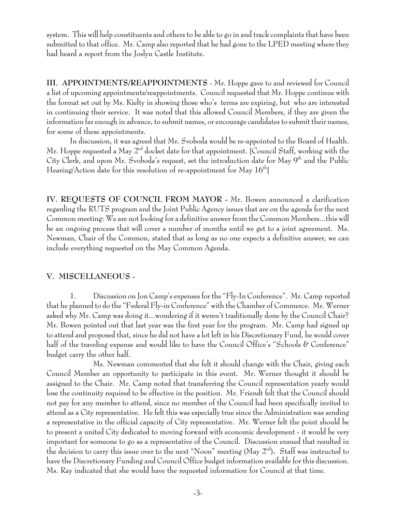system. This will help constituents and others to be able to go in and track complaints that have been submitted to that office. Mr. Camp also reported that he had gone to the LPED meeting where they had heard a report from the Joslyn Castle Institute.

**III. APPOINTMENTS/REAPPOINTMENTS** - Mr. Hoppe gave to and reviewed for Council a list of upcoming appointments/reappointments. Council requested that Mr. Hoppe continue with the format set out by Ms. Kielty in showing those who's terms are expiring, but who are interested in continuing their service. It was noted that this allowed Council Members, if they are given the information far enough in advance, to submit names, or encourage candidates to submit their names, for some of these appointments.

In discussion, it was agreed that Mr. Svoboda would be re-appointed to the Board of Health. Mr. Hoppe requested a May  $2<sup>nd</sup>$  docket date for that appointment. [Council Staff, working with the City Clerk, and upon Mr. Svoboda's request, set the introduction date for May 9<sup>th</sup> and the Public Hearing/Action date for this resolution of re-appointment for May  $16<sup>th</sup>$ 

**IV. REQUESTS OF COUNCIL FROM MAYOR -** Mr. Bowen announced a clarification regarding the RUTS program and the Joint Public Agency issues that are on the agenda for the next Common meeting: We are not looking for a definitive answer from the Common Members...this will be an ongoing process that will cover a number of months until we get to a joint agreement. Ms. Newman, Chair of the Common, stated that as long as no one expects a definitive answer, we can include everything requested on the May Common Agenda.

### **V. MISCELLANEOUS -**

1. Discussion on Jon Camp's expenses for the "Fly-In Conference".Mr. Camp reported that he planned to do the "Federal Fly-in Conference" with the Chamber of Commerce. Mr. Werner asked why Mr. Camp was doing it...wondering if it weren't traditionally done by the Council Chair? Mr. Bowen pointed out that last year was the first year for the program. Mr. Camp had signed up to attend and proposed that, since he did not have a lot left in his Discretionary Fund, he would cover half of the traveling expense and would like to have the Council Office's "Schools & Conference" budget carry the other half.

Ms. Newman commented that she felt it should change with the Chair, giving each Council Member an opportunity to participate in this event. Mr. Werner thought it should be assigned to the Chair. Mr. Camp noted that transferring the Council representation yearly would lose the continuity required to be effective in the position. Mr. Friendt felt that the Council should not pay for any member to attend, since no member of the Council had been specifically invited to attend as a City representative. He felt this was especially true since the Administration was sending a representative in the official capacity of City representative. Mr. Werner felt the point should be to present a united City dedicated to moving forward with economic development - it would be very important for someone to go as a representative of the Council. Discussion ensued that resulted in the decision to carry this issue over to the next "Noon" meeting (May 2nd)**.** Staff was instructed to have the Discretionary Funding and Council Office budget information available for this discussion. Ms. Ray indicated that she would have the requested information for Council at that time.